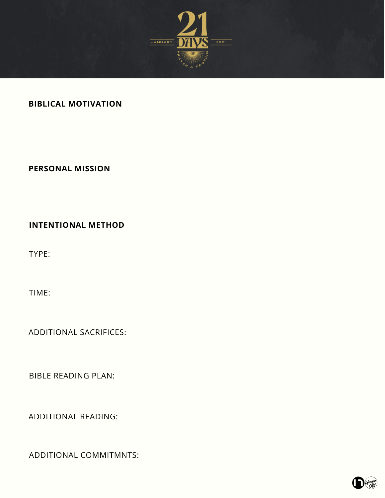

## **BIBLICAL MOTIVATION**

## **PERSONAL MISSION**

**INTENTIONAL METHOD**

TYPE:

TIME:

ADDITIONAL SACRIFICES:

BIBLE READING PLAN:

ADDITIONAL READING:

ADDITIONAL COMMITMNTS:

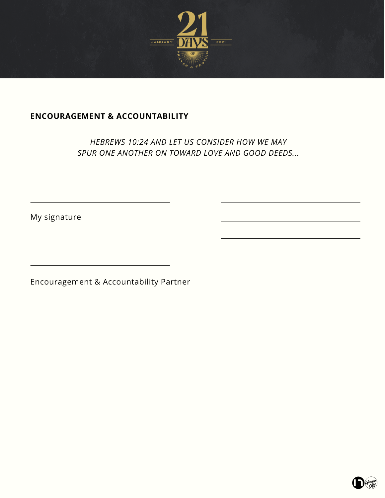

# **ENCOURAGEMENT & ACCOUNTABILITY**

*HEBREWS 10:24 AND LET US CONSIDER HOW WE MAY SPUR ONE ANOTHER ON TOWARD LOVE AND GOOD DEEDS...*

My signature

Encouragement & Accountability Partner

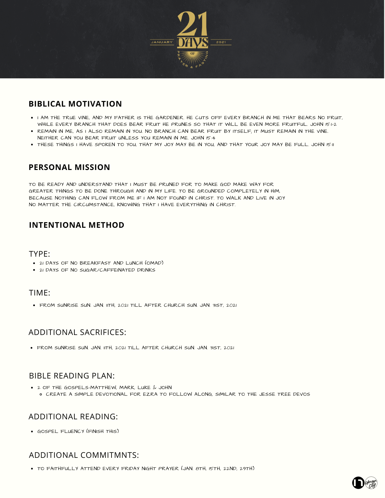

### **BIBLICAL MOTIVATION**

- . I AM THE TRUE VINE, AND MY FATHER IS THE GARDENER. HE CUTS OFF EVERY BRANCH IN ME THAT BEARS NO FRUIT. WHILE EVERY BRANCH THAT DOES BEAR FRUIT HE PRUNES SO THAT IT WILL BE EVEN MORE FRUITFUL. JOHN 15:1-2
- . REMAIN IN ME, AS I ALSO REMAIN IN YOU. NO BRANCH CAN BEAR FRUIT BY ITSELF; IT MUST REMAIN IN THE VINE. NEITHER CAN YOU BEAR FRUIT UNLESS YOU REMAIN IN ME. JOHN 15:4
- **.** THESE THINGS I HAVE SPOKEN TO YOU, THAT MY JOY MAY BE IN YOU, AND THAT YOUR JOY MAY BE FULL. JOHN 15:11

### **PERSONAL MISSION**

TO BE READY AND UNDERSTAND THAT I MUST BE PRUNED FOR TO MAKE GOD MAKE WAY FOR GREATER THINGS TO BE DONE THROUGH AND IN MY LIFE. TO BE GROUNDED COMPLETELY IN HIM, BECAUSE NOTHING CAN FLOW FROM ME IF I AM NOT FOUND IN CHRIST. TO WALK AND LIVE IN JOY NO MATTER THE CIRCUMSTANCE, KNOWING THAT I HAVE EVERYTHING IN CHRIST.

### **INTENTIONAL METHOD**

#### TYPE:

- 21 DAYS OF NO BREAKFAST AND LUNCH (OMAD)
- 21 DAYS OF NO SUGAR/CAFFEINATED DRINKS

#### TIME:

**• FROM SUNRISE SUN. JAN. IITH, 2021 TILL AFTER CHURCH SUN. JAN. 31ST, 2021** 

### ADDITIONAL SACRIFICES:

• FROM SUNRISE SUN. JAN. 11TH, 2021 TILL AFTER CHURCH SUN. JAN. 31ST, 2021

### BIBLE READING PLAN:

2 OF THE GOSPELS-MATTHEW, MARK, LUKE & JOHN CREATE A SIMPLE DEVOTIONAL FOR EZRA TO FOLLOW ALONG, SIMILAR TO THE JESSE TREE DEVOS

### ADDITIONAL READING:

GOSPEL FLUENCY (FINISH THIS)

### ADDITIONAL COMMITMNTS:

TO FAITHFULLY ATTEND EVERY FRIDAY NIGHT PRAYER (JAN. 8TH, 15TH, 22ND, 29TH)